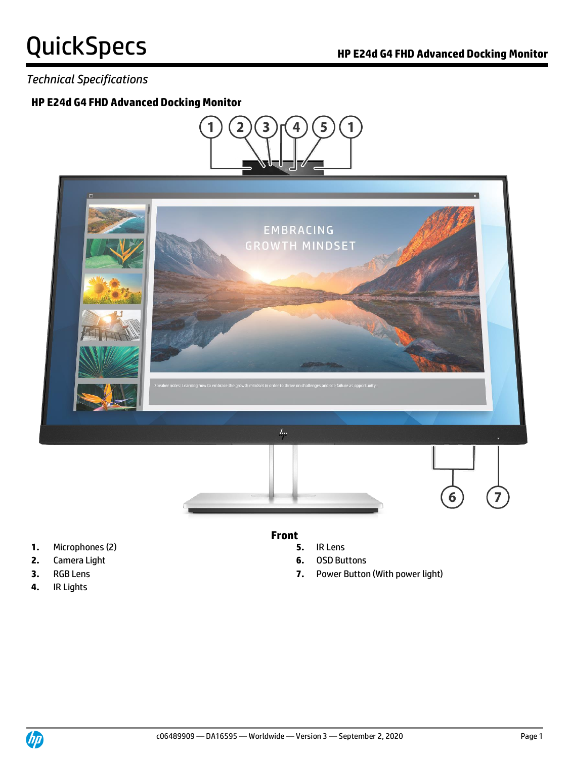### *Technical Specifications*

#### **HP E24d G4 FHD Advanced Docking Monitor**



#### **Front**

- 
- **2.** Camera Light **6.** OSD Buttons
- **3.** RGB Lens **7.** Power Button (With power light)
- **1.** Microphones (2) **5.** IR Lens
- 
- 
- **4.** IR Lights

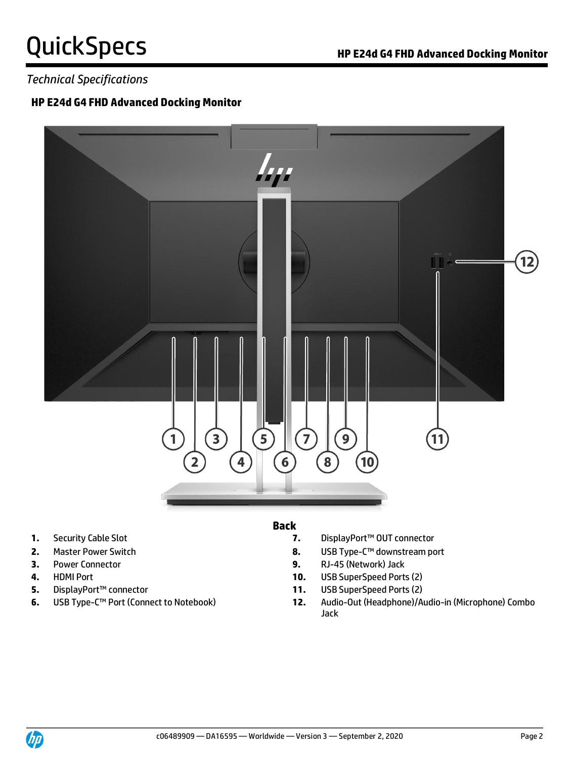### *Technical Specifications*

#### **HP E24d G4 FHD Advanced Docking Monitor**



- 
- 
- 
- 
- 
- 

#### **Back**

- **1.** Security Cable Slot **7.** DisplayPort™ OUT connector
- **2.** Master Power Switch **8.** USB Type-C™ downstream port
- **3.** Power Connector **9.** RJ-45 (Network) Jack
- **4.** HDMI Port **10.** USB SuperSpeed Ports (2)
- **5.** DisplayPort™ connector **11.** USB SuperSpeed Ports (2)
- **6.** USB Type-C™ Port (Connect to Notebook) **12.** Audio-Out (Headphone)/Audio-in (Microphone) Combo Jack

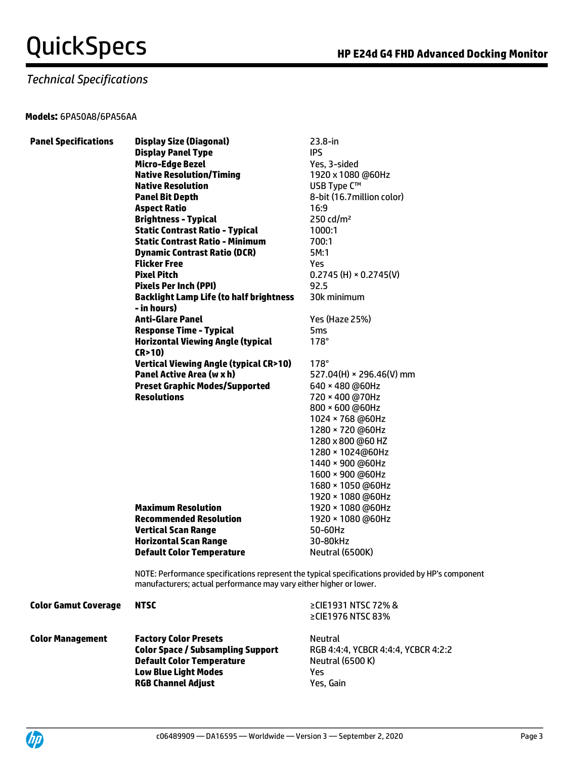### *Technical Specifications*

#### **Models:** 6PA50A8/6PA56AA

| <b>Panel Specifications</b> | <b>Display Size (Diagonal)</b>                                                                                                                                   | $23.8 - in$                         |  |
|-----------------------------|------------------------------------------------------------------------------------------------------------------------------------------------------------------|-------------------------------------|--|
|                             | <b>Display Panel Type</b>                                                                                                                                        | <b>IPS</b>                          |  |
|                             | <b>Micro-Edge Bezel</b>                                                                                                                                          | Yes, 3-sided                        |  |
|                             | <b>Native Resolution/Timing</b>                                                                                                                                  | 1920 x 1080 @60Hz                   |  |
|                             | <b>Native Resolution</b>                                                                                                                                         | USB Type C™                         |  |
|                             | <b>Panel Bit Depth</b>                                                                                                                                           | 8-bit (16.7 million color)          |  |
|                             | <b>Aspect Ratio</b>                                                                                                                                              | 16:9                                |  |
|                             | <b>Brightness - Typical</b>                                                                                                                                      | 250 cd/ $m2$                        |  |
|                             | <b>Static Contrast Ratio - Typical</b>                                                                                                                           | 1000:1                              |  |
|                             | <b>Static Contrast Ratio - Minimum</b>                                                                                                                           | 700:1                               |  |
|                             | <b>Dynamic Contrast Ratio (DCR)</b>                                                                                                                              | 5M:1                                |  |
|                             | <b>Flicker Free</b>                                                                                                                                              | Yes.                                |  |
|                             | <b>Pixel Pitch</b>                                                                                                                                               | $0.2745$ (H) $\times$ 0.2745(V)     |  |
|                             | <b>Pixels Per Inch (PPI)</b>                                                                                                                                     | 92.5                                |  |
|                             | <b>Backlight Lamp Life (to half brightness</b>                                                                                                                   | 30k minimum                         |  |
|                             | - in hours)                                                                                                                                                      |                                     |  |
|                             | <b>Anti-Glare Panel</b>                                                                                                                                          | Yes (Haze 25%)                      |  |
|                             | <b>Response Time - Typical</b>                                                                                                                                   | 5ms                                 |  |
|                             | <b>Horizontal Viewing Angle (typical</b>                                                                                                                         | $178^\circ$                         |  |
|                             | (R > 10)                                                                                                                                                         |                                     |  |
|                             | <b>Vertical Viewing Angle (typical CR&gt;10)</b>                                                                                                                 | $178^\circ$                         |  |
|                             | Panel Active Area (w x h)                                                                                                                                        | 527.04(H) × 296.46(V) mm            |  |
|                             | <b>Preset Graphic Modes/Supported</b>                                                                                                                            | 640 × 480 @60Hz                     |  |
|                             | <b>Resolutions</b>                                                                                                                                               | 720 × 400 @70Hz                     |  |
|                             |                                                                                                                                                                  | 800 × 600 @60Hz                     |  |
|                             |                                                                                                                                                                  | 1024 × 768 @60Hz                    |  |
|                             |                                                                                                                                                                  | 1280 × 720 @60Hz                    |  |
|                             |                                                                                                                                                                  | 1280 x 800 @60 HZ                   |  |
|                             |                                                                                                                                                                  | 1280 × 1024@60Hz                    |  |
|                             |                                                                                                                                                                  | 1440 × 900 @60Hz                    |  |
|                             |                                                                                                                                                                  | 1600 × 900 @60Hz                    |  |
|                             |                                                                                                                                                                  | 1680 × 1050 @60Hz                   |  |
|                             |                                                                                                                                                                  | 1920 × 1080 @60Hz                   |  |
|                             | <b>Maximum Resolution</b>                                                                                                                                        | 1920 × 1080 @60Hz                   |  |
|                             | <b>Recommended Resolution</b>                                                                                                                                    | 1920 × 1080 @60Hz                   |  |
|                             | <b>Vertical Scan Range</b>                                                                                                                                       | 50-60Hz                             |  |
|                             | <b>Horizontal Scan Range</b>                                                                                                                                     | 30-80kHz                            |  |
|                             | <b>Default Color Temperature</b>                                                                                                                                 | Neutral (6500K)                     |  |
|                             |                                                                                                                                                                  |                                     |  |
|                             | NOTE: Performance specifications represent the typical specifications provided by HP's con<br>manufacturers; actual performance may vary either higher or lower. |                                     |  |
|                             |                                                                                                                                                                  |                                     |  |
| <b>Color Gamut Coverage</b> | <b>NTSC</b>                                                                                                                                                      | ≥CIE1931 NTSC 72% &                 |  |
|                             |                                                                                                                                                                  | ≥CIE1976 NTSC 83%                   |  |
| <b>Color Management</b>     | <b>Factory Color Presets</b>                                                                                                                                     | Neutral                             |  |
|                             | <b>Color Space / Subsampling Support</b>                                                                                                                         | RGB 4:4:4, YCBCR 4:4:4, YCBCR 4:2:2 |  |
|                             | <b>Default Color Temperature</b>                                                                                                                                 | <b>Neutral (6500 K)</b>             |  |
|                             | Low Plue Light Moder                                                                                                                                             | Voc                                 |  |

NOTE: Performance specifications represent the typical specifications provided by HP's component

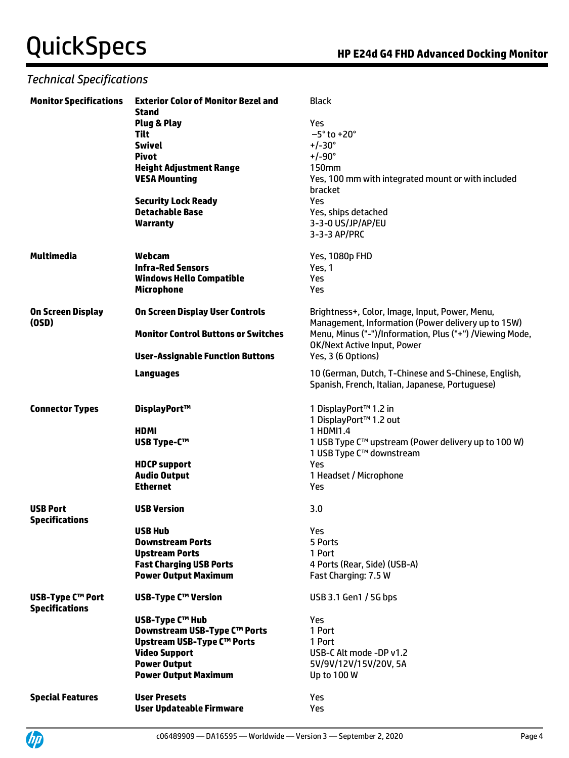### *Technical Specifications*

| <b>Monitor Specifications</b>                    | <b>Exterior Color of Monitor Bezel and</b><br>Stand | <b>Black</b>                                                                                            |
|--------------------------------------------------|-----------------------------------------------------|---------------------------------------------------------------------------------------------------------|
|                                                  | Plug & Play                                         | Yes                                                                                                     |
|                                                  | Tilt                                                | $-5^\circ$ to +20 $^\circ$                                                                              |
|                                                  | <b>Swivel</b>                                       | $+/-30^{\circ}$                                                                                         |
|                                                  | <b>Pivot</b>                                        | $+/-90^{\circ}$                                                                                         |
|                                                  | <b>Height Adjustment Range</b>                      | <b>150mm</b>                                                                                            |
|                                                  | <b>VESA Mounting</b>                                | Yes, 100 mm with integrated mount or with included                                                      |
|                                                  |                                                     | bracket                                                                                                 |
|                                                  | <b>Security Lock Ready</b>                          | Yes                                                                                                     |
|                                                  | <b>Detachable Base</b>                              | Yes, ships detached                                                                                     |
|                                                  | <b>Warranty</b>                                     | 3-3-0 US/JP/AP/EU                                                                                       |
|                                                  |                                                     | 3-3-3 AP/PRC                                                                                            |
| Multimedia                                       | Webcam                                              | Yes, 1080p FHD                                                                                          |
|                                                  | <b>Infra-Red Sensors</b>                            | Yes, 1                                                                                                  |
|                                                  | <b>Windows Hello Compatible</b>                     | Yes                                                                                                     |
|                                                  | <b>Microphone</b>                                   | Yes                                                                                                     |
| <b>On Screen Display</b><br>(OSD)                | <b>On Screen Display User Controls</b>              | Brightness+, Color, Image, Input, Power, Menu,<br>Management, Information (Power delivery up to 15W)    |
|                                                  | <b>Monitor Control Buttons or Switches</b>          | Menu, Minus ("-")/Information, Plus ("+") /Viewing Mode,<br>OK/Next Active Input, Power                 |
|                                                  | <b>User-Assignable Function Buttons</b>             | Yes, 3 (6 Options)                                                                                      |
|                                                  | <b>Languages</b>                                    | 10 (German, Dutch, T-Chinese and S-Chinese, English,<br>Spanish, French, Italian, Japanese, Portuguese) |
| <b>Connector Types</b>                           | DisplayPort™                                        | 1 DisplayPort™ 1.2 in                                                                                   |
|                                                  |                                                     | 1 DisplayPort™ 1.2 out                                                                                  |
|                                                  | HDMI                                                | 1 HDMI1.4                                                                                               |
|                                                  | <b>USB Type-C™</b>                                  | 1 USB Type C™ upstream (Power delivery up to 100 W)<br>1 USB Type C™ downstream                         |
|                                                  | <b>HDCP support</b>                                 | Yes                                                                                                     |
|                                                  | <b>Audio Output</b>                                 | 1 Headset / Microphone                                                                                  |
|                                                  | <b>Ethernet</b>                                     | Yes                                                                                                     |
| <b>USB Port</b><br><b>Specifications</b>         | <b>USB Version</b>                                  | 3.0                                                                                                     |
|                                                  | <b>USB Hub</b>                                      | Yes                                                                                                     |
|                                                  | <b>Downstream Ports</b>                             | 5 Ports                                                                                                 |
|                                                  | <b>Upstream Ports</b>                               | 1 Port                                                                                                  |
|                                                  | <b>Fast Charging USB Ports</b>                      | 4 Ports (Rear, Side) (USB-A)                                                                            |
|                                                  | <b>Power Output Maximum</b>                         | Fast Charging: 7.5 W                                                                                    |
| <b>USB-Type C™ Port</b><br><b>Specifications</b> | <b>USB-Type C™ Version</b>                          | USB 3.1 Gen1 / 5G bps                                                                                   |
|                                                  | <b>USB-Type C™ Hub</b>                              | Yes                                                                                                     |
|                                                  | Downstream USB-Type C™ Ports                        | 1 Port                                                                                                  |
|                                                  | Upstream USB-Type C™ Ports                          | 1 Port                                                                                                  |
|                                                  | <b>Video Support</b>                                | USB-C Alt mode -DP v1.2                                                                                 |
|                                                  | <b>Power Output</b>                                 |                                                                                                         |
|                                                  |                                                     | 5V/9V/12V/15V/20V, 5A                                                                                   |
|                                                  | <b>Power Output Maximum</b>                         | Up to 100 W                                                                                             |
| <b>Special Features</b>                          | <b>User Presets</b>                                 | Yes                                                                                                     |
|                                                  | <b>User Updateable Firmware</b>                     | Yes                                                                                                     |
|                                                  |                                                     |                                                                                                         |

UP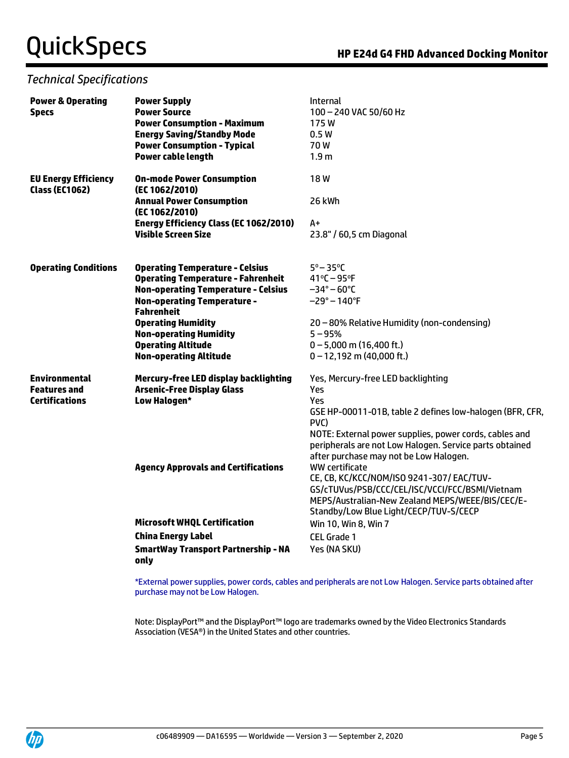#### *Technical Specifications*

| <b>Power &amp; Operating</b><br><b>Specs</b>         | <b>Power Supply</b><br><b>Power Source</b>              | <b>Internal</b><br>100 - 240 VAC 50/60 Hz                                                                                                                   |  |
|------------------------------------------------------|---------------------------------------------------------|-------------------------------------------------------------------------------------------------------------------------------------------------------------|--|
|                                                      | <b>Power Consumption - Maximum</b>                      | 175W                                                                                                                                                        |  |
|                                                      | <b>Energy Saving/Standby Mode</b>                       | 0.5W                                                                                                                                                        |  |
|                                                      | <b>Power Consumption - Typical</b>                      | 70W                                                                                                                                                         |  |
|                                                      | <b>Power cable length</b>                               | 1.9 <sub>m</sub>                                                                                                                                            |  |
|                                                      |                                                         |                                                                                                                                                             |  |
| <b>EU Energy Efficiency</b><br><b>Class (EC1062)</b> | <b>On-mode Power Consumption</b><br>(EC 1062/2010)      | 18W                                                                                                                                                         |  |
|                                                      | <b>Annual Power Consumption</b><br>(EC 1062/2010)       | 26 kWh                                                                                                                                                      |  |
|                                                      | <b>Energy Efficiency Class (EC 1062/2010)</b>           | A+                                                                                                                                                          |  |
|                                                      | <b>Visible Screen Size</b>                              | 23.8" / 60,5 cm Diagonal                                                                                                                                    |  |
| <b>Operating Conditions</b>                          | <b>Operating Temperature - Celsius</b>                  | $5^\circ - 35^\circ C$                                                                                                                                      |  |
|                                                      | <b>Operating Temperature - Fahrenheit</b>               | $41^{\circ}C - 95^{\circ}F$                                                                                                                                 |  |
|                                                      | <b>Non-operating Temperature - Celsius</b>              | $-34^{\circ} - 60^{\circ}$ C                                                                                                                                |  |
|                                                      | <b>Non-operating Temperature -</b><br><b>Fahrenheit</b> | –29° – 140°F                                                                                                                                                |  |
|                                                      | <b>Operating Humidity</b>                               | 20 - 80% Relative Humidity (non-condensing)                                                                                                                 |  |
|                                                      | <b>Non-operating Humidity</b>                           | $5 - 95%$                                                                                                                                                   |  |
|                                                      | <b>Operating Altitude</b>                               | $0 - 5,000$ m (16,400 ft.)                                                                                                                                  |  |
|                                                      | <b>Non-operating Altitude</b>                           | $0 - 12,192$ m (40,000 ft.)                                                                                                                                 |  |
| <b>Environmental</b>                                 | Mercury-free LED display backlighting                   | Yes, Mercury-free LED backlighting                                                                                                                          |  |
| <b>Features and</b>                                  | <b>Arsenic-Free Display Glass</b>                       | Yes<br>Yes                                                                                                                                                  |  |
| <b>Certifications</b>                                | Low Halogen*                                            |                                                                                                                                                             |  |
|                                                      |                                                         | GSE HP-00011-01B, table 2 defines low-halogen (BFR, CFR,<br>PVC)                                                                                            |  |
|                                                      |                                                         | NOTE: External power supplies, power cords, cables and<br>peripherals are not Low Halogen. Service parts obtained<br>after purchase may not be Low Halogen. |  |
|                                                      | <b>Agency Approvals and Certifications</b>              | WW certificate                                                                                                                                              |  |
|                                                      |                                                         | CE, CB, KC/KCC/NOM/ISO 9241-307/ EAC/TUV-                                                                                                                   |  |
|                                                      |                                                         | GS/cTUVus/PSB/CCC/CEL/ISC/VCCI/FCC/BSMI/Vietnam                                                                                                             |  |
|                                                      |                                                         | MEPS/Australian-New Zealand MEPS/WEEE/BIS/CEC/E-                                                                                                            |  |
|                                                      |                                                         | Standby/Low Blue Light/CECP/TUV-S/CECP                                                                                                                      |  |
|                                                      | <b>Microsoft WHQL Certification</b>                     | Win 10, Win 8, Win 7                                                                                                                                        |  |
|                                                      | <b>China Energy Label</b>                               | CEL Grade 1                                                                                                                                                 |  |
|                                                      | <b>SmartWay Transport Partnership - NA</b><br>only      | Yes (NA SKU)                                                                                                                                                |  |
|                                                      |                                                         |                                                                                                                                                             |  |

\*External power supplies, power cords, cables and peripherals are not Low Halogen. Service parts obtained after purchase may not be Low Halogen.

Note: DisplayPort™ and the DisplayPort™ logo are trademarks owned by the Video Electronics Standards Association (VESA®) in the United States and other countries.

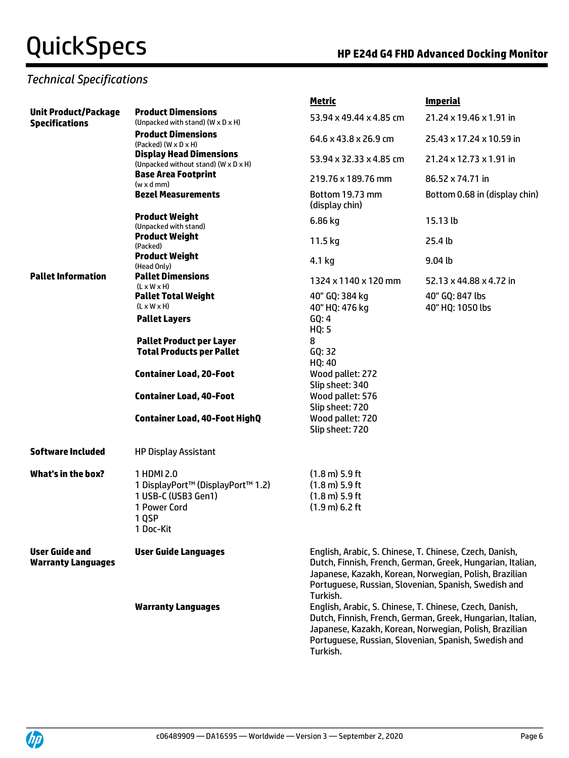### *Technical Specifications*

|                                                      |                                                                                                              | <u>Metric</u>                                                                                                | <b>Imperial</b>                                                                                                                                                                                                                         |
|------------------------------------------------------|--------------------------------------------------------------------------------------------------------------|--------------------------------------------------------------------------------------------------------------|-----------------------------------------------------------------------------------------------------------------------------------------------------------------------------------------------------------------------------------------|
| <b>Unit Product/Package</b><br><b>Specifications</b> | <b>Product Dimensions</b><br>(Unpacked with stand) (W x D x H)                                               | 53.94 x 49.44 x 4.85 cm                                                                                      | 21.24 x 19.46 x 1.91 in                                                                                                                                                                                                                 |
|                                                      | <b>Product Dimensions</b><br>$(Packed)$ $(W \times D \times H)$                                              | 64.6 x 43.8 x 26.9 cm                                                                                        | 25.43 x 17.24 x 10.59 in                                                                                                                                                                                                                |
|                                                      | <b>Display Head Dimensions</b><br>(Unpacked without stand) (W x D x H)                                       | 53.94 x 32.33 x 4.85 cm                                                                                      | 21.24 x 12.73 x 1.91 in                                                                                                                                                                                                                 |
|                                                      | <b>Base Area Footprint</b><br>$(w \times d$ mm)                                                              | 219.76 x 189.76 mm                                                                                           | 86.52 x 74.71 in                                                                                                                                                                                                                        |
|                                                      | <b>Bezel Measurements</b>                                                                                    | Bottom 19.73 mm<br>(display chin)                                                                            | Bottom 0.68 in (display chin)                                                                                                                                                                                                           |
|                                                      | <b>Product Weight</b><br>(Unpacked with stand)                                                               | 6.86 kg                                                                                                      | 15.13 lb                                                                                                                                                                                                                                |
|                                                      | <b>Product Weight</b><br>(Packed)                                                                            | 11.5 kg                                                                                                      | 25.4 <sub>th</sub>                                                                                                                                                                                                                      |
|                                                      | <b>Product Weight</b><br>(Head Only)                                                                         | 4.1 kg                                                                                                       | 9.04 <sub>b</sub>                                                                                                                                                                                                                       |
| <b>Pallet Information</b>                            | <b>Pallet Dimensions</b><br>$(L \times W \times H)$                                                          | 1324 x 1140 x 120 mm                                                                                         | 52.13 x 44.88 x 4.72 in                                                                                                                                                                                                                 |
|                                                      | <b>Pallet Total Weight</b><br>$(L \times W \times H)$                                                        | 40" GQ: 384 kg<br>40" HQ: 476 kg                                                                             | 40" GQ: 847 lbs<br>40" HQ: 1050 lbs                                                                                                                                                                                                     |
|                                                      | <b>Pallet Layers</b>                                                                                         | GQ: 4<br>HQ: 5                                                                                               |                                                                                                                                                                                                                                         |
|                                                      | <b>Pallet Product per Layer</b><br><b>Total Products per Pallet</b>                                          | 8<br>GQ: 32<br>HQ: 40                                                                                        |                                                                                                                                                                                                                                         |
|                                                      | <b>Container Load, 20-Foot</b>                                                                               | Wood pallet: 272<br>Slip sheet: 340                                                                          |                                                                                                                                                                                                                                         |
|                                                      | <b>Container Load, 40-Foot</b>                                                                               | Wood pallet: 576<br>Slip sheet: 720                                                                          |                                                                                                                                                                                                                                         |
|                                                      | <b>Container Load, 40-Foot HighQ</b>                                                                         | Wood pallet: 720<br>Slip sheet: 720                                                                          |                                                                                                                                                                                                                                         |
| <b>Software Included</b>                             | <b>HP Display Assistant</b>                                                                                  |                                                                                                              |                                                                                                                                                                                                                                         |
| <b>What's in the box?</b>                            | 1 HDMI 2.0<br>1 DisplayPort™ (DisplayPort™ 1.2)<br>1 USB-C (USB3 Gen1)<br>1 Power Cord<br>1 QSP<br>1 Doc-Kit | $(1.8 \text{ m})$ 5.9 ft<br>$(1.8 \text{ m})$ 5.9 ft<br>$(1.8 \text{ m})$ 5.9 ft<br>$(1.9 \text{ m})$ 6.2 ft |                                                                                                                                                                                                                                         |
| <b>User Guide and</b><br><b>Warranty Languages</b>   | <b>User Guide Languages</b>                                                                                  | Turkish.                                                                                                     | English, Arabic, S. Chinese, T. Chinese, Czech, Danish,<br>Dutch, Finnish, French, German, Greek, Hungarian, Italian,<br>Japanese, Kazakh, Korean, Norwegian, Polish, Brazilian<br>Portuguese, Russian, Slovenian, Spanish, Swedish and |
|                                                      | <b>Warranty Languages</b>                                                                                    | Turkish.                                                                                                     | English, Arabic, S. Chinese, T. Chinese, Czech, Danish,<br>Dutch, Finnish, French, German, Greek, Hungarian, Italian,<br>Japanese, Kazakh, Korean, Norwegian, Polish, Brazilian<br>Portuguese, Russian, Slovenian, Spanish, Swedish and |

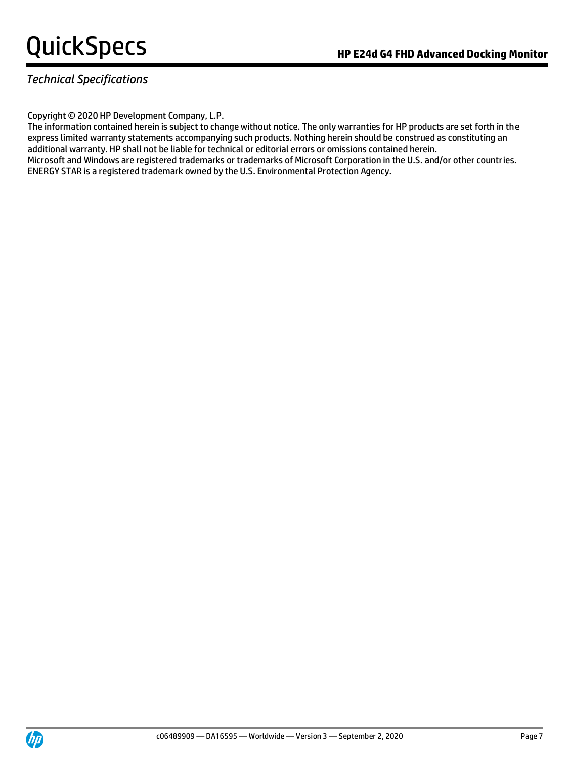### *Technical Specifications*

#### Copyright © 2020 HP Development Company, L.P.

The information contained herein is subject to change without notice. The only warranties for HP products are set forth in the express limited warranty statements accompanying such products. Nothing herein should be construed as constituting an additional warranty. HP shall not be liable for technical or editorial errors or omissions contained herein. Microsoft and Windows are registered trademarks or trademarks of Microsoft Corporation in the U.S. and/or other countries. ENERGY STAR is a registered trademark owned by the U.S. Environmental Protection Agency.